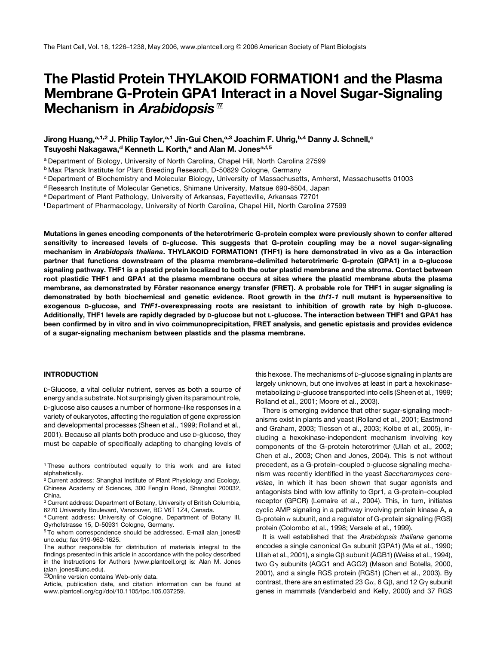# The Plastid Protein THYLAKOID FORMATION1 and the Plasma Membrane G-Protein GPA1 Interact in a Novel Sugar-Signaling Mechanism in Arabidopsis<sup>™</sup>

# Jirong Huang,<sup>a,1,2</sup> J. Philip Taylor,<sup>a,1</sup> Jin-Gui Chen,<sup>a,3</sup> Joachim F. Uhrig,<sup>b,4</sup> Danny J. Schnell,<sup>c</sup> Tsuyoshi Nakagawa,<sup>d</sup> Kenneth L. Korth,<sup>e</sup> and Alan M. Jones<sup>a,f,5</sup>

<sup>a</sup> Department of Biology, University of North Carolina, Chapel Hill, North Carolina 27599

<sup>b</sup> Max Planck Institute for Plant Breeding Research, D-50829 Cologne, Germany

<sup>d</sup> Research Institute of Molecular Genetics, Shimane University, Matsue 690-8504, Japan

<sup>e</sup> Department of Plant Pathology, University of Arkansas, Fayetteville, Arkansas 72701

<sup>f</sup> Department of Pharmacology, University of North Carolina, Chapel Hill, North Carolina 27599

Mutations in genes encoding components of the heterotrimeric G-protein complex were previously shown to confer altered sensitivity to increased levels of D-glucose. This suggests that G-protein coupling may be a novel sugar-signaling mechanism in Arabidopsis thaliana. THYLAKOID FORMATION1 (THF1) is here demonstrated in vivo as a G« interaction partner that functions downstream of the plasma membrane–delimited heterotrimeric G-protein (GPA1) in a D-glucose signaling pathway. THF1 is a plastid protein localized to both the outer plastid membrane and the stroma. Contact between root plastidic THF1 and GPA1 at the plasma membrane occurs at sites where the plastid membrane abuts the plasma membrane, as demonstrated by Förster resonance energy transfer (FRET). A probable role for THF1 in sugar signaling is demonstrated by both biochemical and genetic evidence. Root growth in the thf1-1 null mutant is hypersensitive to exogenous D-glucose, and THF1-overexpressing roots are resistant to inhibition of growth rate by high D-glucose. Additionally, THF1 levels are rapidly degraded by D-glucose but not L-glucose. The interaction between THF1 and GPA1 has been confirmed by in vitro and in vivo coimmunoprecipitation, FRET analysis, and genetic epistasis and provides evidence of a sugar-signaling mechanism between plastids and the plasma membrane.

## INTRODUCTION

D-Glucose, a vital cellular nutrient, serves as both a source of energy and a substrate. Not surprisingly given its paramount role, D-glucose also causes a number of hormone-like responses in a variety of eukaryotes, affecting the regulation of gene expression and developmental processes (Sheen et al., 1999; Rolland et al., 2001). Because all plants both produce and use D-glucose, they must be capable of specifically adapting to changing levels of

<sup>1</sup> These authors contributed equally to this work and are listed alphabetically.

<sup>2</sup> Current address: Shanghai Institute of Plant Physiology and Ecology, Chinese Academy of Sciences, 300 Fenglin Road, Shanghai 200032, China.

<sup>3</sup> Current address: Department of Botany, University of British Columbia, 6270 University Boulevard, Vancouver, BC V6T 1Z4, Canada.

<sup>4</sup> Current address: University of Cologne, Department of Botany III, Gyrhofstrasse 15, D-50931 Cologne, Germany.

<sup>5</sup> To whom correspondence should be addressed. E-mail alan\_jones@ unc.edu; fax 919-962-1625.

The author responsible for distribution of materials integral to the findings presented in this article in accordance with the policy described in the Instructions for Authors (www.plantcell.org) is: Alan M. Jones (alan\_jones@unc.edu).

<sup>IM</sup>Online version contains Web-only data.

Article, publication date, and citation information can be found at www.plantcell.org/cgi/doi/10.1105/tpc.105.037259.

this hexose. The mechanisms of D-glucose signaling in plants are largely unknown, but one involves at least in part a hexokinasemetabolizing D-glucose transported into cells (Sheen et al., 1999; Rolland et al., 2001; Moore et al., 2003).

There is emerging evidence that other sugar-signaling mechanisms exist in plants and yeast (Rolland et al., 2001; Eastmond and Graham, 2003; Tiessen et al., 2003; Kolbe et al., 2005), including a hexokinase-independent mechanism involving key components of the G-protein heterotrimer (Ullah et al., 2002; Chen et al., 2003; Chen and Jones, 2004). This is not without precedent, as a G-protein–coupled D-glucose signaling mechanism was recently identified in the yeast *Saccharomyces cerevisiae*, in which it has been shown that sugar agonists and antagonists bind with low affinity to Gpr1, a G-protein–coupled receptor (GPCR) (Lemaire et al., 2004). This, in turn, initiates cyclic AMP signaling in a pathway involving protein kinase A, a G-protein  $\alpha$  subunit, and a regulator of G-protein signaling (RGS) protein (Colombo et al., 1998; Versele et al., 1999).

It is well established that the *Arabidopsis thaliana* genome encodes a single canonical G $\alpha$  subunit (GPA1) (Ma et al., 1990; Ullah et al., 2001), a single G<sub>B</sub> subunit (AGB1) (Weiss et al., 1994), two G<sub>γ</sub> subunits (AGG1 and AGG2) (Mason and Botella, 2000, 2001), and a single RGS protein (RGS1) (Chen et al., 2003). By contrast, there are an estimated 23  $Ga$ , 6  $GB$ , and 12  $G<sub>Y</sub>$  subunit genes in mammals (Vanderbeld and Kelly, 2000) and 37 RGS

<sup>c</sup> Department of Biochemistry and Molecular Biology, University of Massachusetts, Amherst, Massachusetts 01003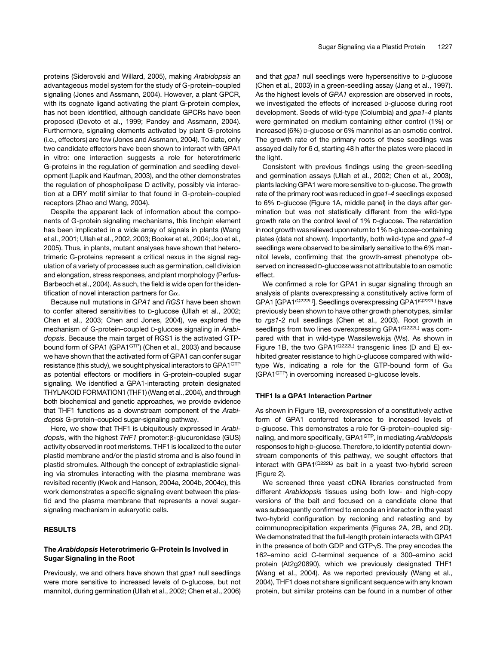proteins (Siderovski and Willard, 2005), making *Arabidopsis* an advantageous model system for the study of G-protein–coupled signaling (Jones and Assmann, 2004). However, a plant GPCR, with its cognate ligand activating the plant G-protein complex, has not been identified, although candidate GPCRs have been proposed (Devoto et al., 1999; Pandey and Assmann, 2004). Furthermore, signaling elements activated by plant G-proteins (i.e., effectors) are few (Jones and Assmann, 2004). To date, only two candidate effectors have been shown to interact with GPA1 in vitro: one interaction suggests a role for heterotrimeric G-proteins in the regulation of germination and seedling development (Lapik and Kaufman, 2003), and the other demonstrates the regulation of phospholipase D activity, possibly via interaction at a DRY motif similar to that found in G-protein–coupled receptors (Zhao and Wang, 2004).

Despite the apparent lack of information about the components of G-protein signaling mechanisms, this linchpin element has been implicated in a wide array of signals in plants (Wang et al., 2001; Ullah et al., 2002, 2003; Booker et al., 2004; Joo et al., 2005). Thus, in plants, mutant analyses have shown that heterotrimeric G-proteins represent a critical nexus in the signal regulation of a variety of processes such as germination, cell division and elongation, stress responses, and plant morphology (Perfus-Barbeoch et al., 2004). As such, the field is wide open for the identification of novel interaction partners for  $Ga$ .

Because null mutations in *GPA1* and *RGS1* have been shown to confer altered sensitivities to D-glucose (Ullah et al., 2002; Chen et al., 2003; Chen and Jones, 2004), we explored the mechanism of G-protein–coupled D-glucose signaling in *Arabidopsis*. Because the main target of RGS1 is the activated GTPbound form of GPA1 (GPA1<sup>GTP</sup>) (Chen et al., 2003) and because we have shown that the activated form of GPA1 can confer sugar resistance (this study), we sought physical interactors to GPA1<sup>GTP</sup> as potential effectors or modifiers in G-protein–coupled sugar signaling. We identified a GPA1-interacting protein designated THYLAKOID FORMATION1 (THF1) (Wang et al., 2004), and through both biochemical and genetic approaches, we provide evidence that THF1 functions as a downstream component of the *Arabidopsis* G-protein–coupled sugar-signaling pathway.

Here, we show that THF1 is ubiquitously expressed in *Arabidopsis*, with the highest *THF1* promoter:β-glucuronidase (GUS) activity observed in root meristems. THF1 is localized to the outer plastid membrane and/or the plastid stroma and is also found in plastid stromules. Although the concept of extraplastidic signaling via stromules interacting with the plasma membrane was revisited recently (Kwok and Hanson, 2004a, 2004b, 2004c), this work demonstrates a specific signaling event between the plastid and the plasma membrane that represents a novel sugarsignaling mechanism in eukaryotic cells.

# **RESULTS**

# The Arabidopsis Heterotrimeric G-Protein Is Involved in Sugar Signaling in the Root

Previously, we and others have shown that *gpa1* null seedlings were more sensitive to increased levels of D-glucose, but not mannitol, during germination (Ullah et al., 2002; Chen et al., 2006) and that *gpa1* null seedlings were hypersensitive to D-glucose (Chen et al., 2003) in a green-seedling assay (Jang et al., 1997). As the highest levels of *GPA1* expression are observed in roots, we investigated the effects of increased D-glucose during root development. Seeds of wild-type (Columbia) and *gpa1-4* plants were germinated on medium containing either control (1%) or increased (6%) D-glucose or 6% mannitol as an osmotic control. The growth rate of the primary roots of these seedlings was assayed daily for 6 d, starting 48 h after the plates were placed in the light.

Consistent with previous findings using the green-seedling and germination assays (Ullah et al., 2002; Chen et al., 2003), plants lacking GPA1 were more sensitive to D-glucose. The growth rate of the primary root was reduced in *gpa1-4* seedlings exposed to 6% D-glucose (Figure 1A, middle panel) in the days after germination but was not statistically different from the wild-type growth rate on the control level of 1% D-glucose. The retardation in root growth was relieved upon return to 1% D-glucose–containing plates (data not shown). Importantly, both wild-type and *gpa1-4* seedlings were observed to be similarly sensitive to the 6% mannitol levels, confirming that the growth-arrest phenotype observed on increased D-glucose was not attributable to an osmotic effect.

We confirmed a role for GPA1 in sugar signaling through an analysis of plants overexpressing a constitutively active form of GPA1 [GPA1<sup>(Q222L)</sup>]. Seedlings overexpressing GPA1<sup>(Q222L)</sup> have previously been shown to have other growth phenotypes, similar to *rgs1-2* null seedlings (Chen et al., 2003). Root growth in seedlings from two lines overexpressing GPA1(Q222L) was compared with that in wild-type Wassilewskija (Ws). As shown in Figure 1B, the two GPA1<sup>(Q222L)</sup> transgenic lines (D and E) exhibited greater resistance to high D-glucose compared with wildtype Ws, indicating a role for the GTP-bound form of  $G\alpha$ (GPA1GTP) in overcoming increased D-glucose levels.

# THF1 Is a GPA1 Interaction Partner

As shown in Figure 1B, overexpression of a constitutively active form of GPA1 conferred tolerance to increased levels of D-glucose. This demonstrates a role for G-protein–coupled signaling, and more specifically, GPA1GTP, in mediating *Arabidopsis* responses to high D-glucose. Therefore, to identify potential downstream components of this pathway, we sought effectors that interact with GPA1 $(Q222L)$  as bait in a yeast two-hybrid screen (Figure 2).

We screened three yeast cDNA libraries constructed from different *Arabidopsis* tissues using both low- and high-copy versions of the bait and focused on a candidate clone that was subsequently confirmed to encode an interactor in the yeast two-hybrid configuration by recloning and retesting and by coimmunoprecipitation experiments (Figures 2A, 2B, and 2D). We demonstrated that the full-length protein interacts with GPA1 in the presence of both GDP and GTP $\gamma$ S. The prey encodes the 162–amino acid C-terminal sequence of a 300–amino acid protein (At2g20890), which we previously designated THF1 (Wang et al., 2004). As we reported previously (Wang et al., 2004), THF1 does not share significant sequence with any known protein, but similar proteins can be found in a number of other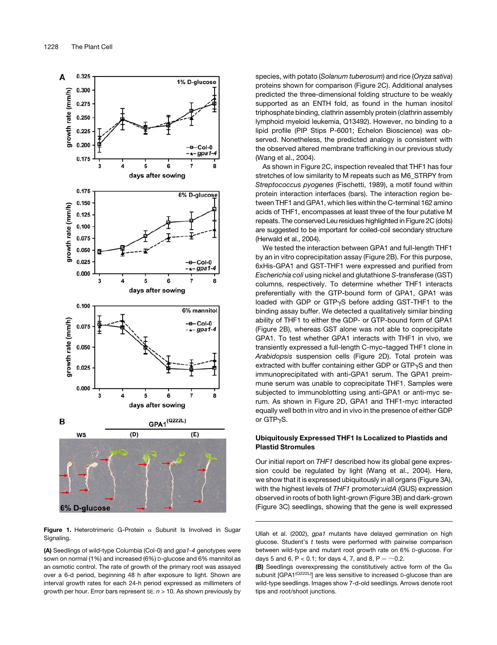

Figure 1. Heterotrimeric G-Protein  $\alpha$  Subunit Is Involved in Sugar Signaling.

(A) Seedlings of wild-type Columbia (Col-0) and *gpa1-4* genotypes were sown on normal (1%) and increased (6%) D-glucose and 6% mannitol as an osmotic control. The rate of growth of the primary root was assayed over a 6-d period, beginning 48 h after exposure to light. Shown are interval growth rates for each 24-h period expressed as millimeters of growth per hour. Error bars represent SE. *n* > 10. As shown previously by species, with potato (*Solanum tuberosum*) and rice (*Oryza sativa*) proteins shown for comparison (Figure 2C). Additional analyses predicted the three-dimensional folding structure to be weakly supported as an ENTH fold, as found in the human inositol triphosphate binding, clathrin assembly protein (clathrin assembly lymphoid myeloid leukemia, Q13492). However, no binding to a lipid profile (PIP Stips P-6001; Echelon Bioscience) was observed. Nonetheless, the predicted analogy is consistent with the observed altered membrane trafficking in our previous study (Wang et al., 2004).

As shown in Figure 2C, inspection revealed that THF1 has four stretches of low similarity to M repeats such as M6\_STRPY from *Streptococcus pyogenes* (Fischetti, 1989), a motif found within protein interaction interfaces (bars). The interaction region between THF1 and GPA1, which lies within the C-terminal 162 amino acids of THF1, encompasses at least three of the four putative M repeats. The conserved Leu residues highlighted in Figure 2C (dots) are suggested to be important for coiled-coil secondary structure (Herwald et al., 2004).

We tested the interaction between GPA1 and full-length THF1 by an in vitro coprecipitation assay (Figure 2B). For this purpose, 6xHis-GPA1 and GST-THF1 were expressed and purified from *Escherichia coli* using nickel and glutathione *S*-transferase (GST) columns, respectively. To determine whether THF1 interacts preferentially with the GTP-bound form of GPA1, GPA1 was loaded with GDP or GTP<sub>Y</sub>S before adding GST-THF1 to the binding assay buffer. We detected a qualitatively similar binding ability of THF1 to either the GDP- or GTP-bound form of GPA1 (Figure 2B), whereas GST alone was not able to coprecipitate GPA1. To test whether GPA1 interacts with THF1 in vivo, we transiently expressed a full-length C-myc–tagged THF1 clone in *Arabidopsis* suspension cells (Figure 2D). Total protein was extracted with buffer containing either GDP or  $GTP_{\gamma}S$  and then immunoprecipitated with anti-GPA1 serum. The GPA1 preimmune serum was unable to coprecipitate THF1. Samples were subjected to immunoblotting using anti-GPA1 or anti-myc serum. As shown in Figure 2D, GPA1 and THF1-myc interacted equally well both in vitro and in vivo in the presence of either GDP or GTP<sub>v</sub>S.

# Ubiquitously Expressed THF1 Is Localized to Plastids and Plastid Stromules

Our initial report on *THF1* described how its global gene expression could be regulated by light (Wang et al., 2004). Here, we show that it is expressed ubiquitously in all organs (Figure 3A), with the highest levels of *THF1* promoter:*uidA* (GUS) expression observed in roots of both light-grown (Figure 3B) and dark-grown (Figure 3C) seedlings, showing that the gene is well expressed

Ullah et al. (2002), *gpa1* mutants have delayed germination on high glucose. Student's *t* tests were performed with pairwise comparison between wild-type and mutant root growth rate on 6% D-glucose. For days 5 and 6, P < 0.1; for days 4, 7, and 8, P =  $\sim$  0.2.

(B) Seedlings overexpressing the constitutively active form of the  $G\alpha$ subunit [GPA1<sup>(Q222L)</sup>] are less sensitive to increased D-glucose than are wild-type seedlings. Images show 7-d-old seedlings. Arrows denote root tips and root/shoot junctions.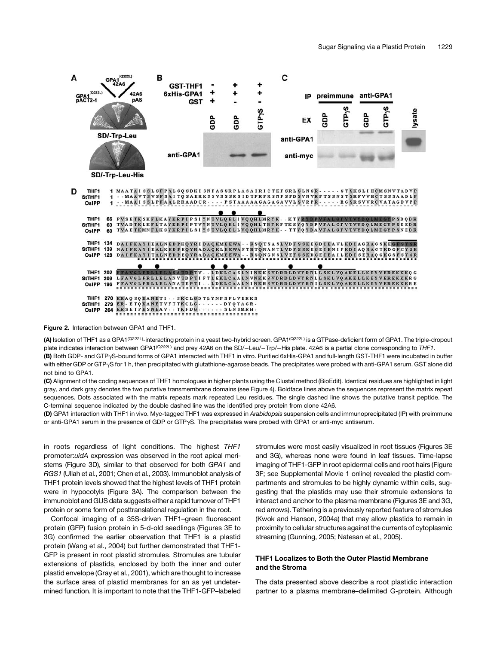

Figure 2. Interaction between GPA1 and THF1.

(A) Isolation of THF1 as a GPA1<sup>(Q222L)</sup>-interacting protein in a yeast two-hybrid screen. GPA1<sup>(Q222L)</sup> is a GTPase-deficient form of GPA1. The triple-dropout plate indicates interaction between GPA1<sup>(Q222L)</sup> and prey 42A6 on the SD/-Leu/-Trp/-His plate. 42A6 is a partial clone corresponding to THF1. (B) Both GDP- and GTPgS-bound forms of GPA1 interacted with THF1 in vitro. Purified 6xHis-GPA1 and full-length GST-THF1 were incubated in buffer with either GDP or GTP<sub>'Y</sub>S for 1 h, then precipitated with glutathione-agarose beads. The precipitates were probed with anti-GPA1 serum. GST alone did not bind to GPA1.

(C) Alignment of the coding sequences of THF1 homologues in higher plants using the Clustal method (BioEdit). Identical residues are highlighted in light gray, and dark gray denotes the two putative transmembrane domains (see Figure 4). Boldface lines above the sequences represent the matrix repeat sequences. Dots associated with the matrix repeats mark repeated Leu residues. The single dashed line shows the putative transit peptide. The C-terminal sequence indicated by the double dashed line was the identified prey protein from clone 42A6.

(D) GPA1 interaction with THF1 in vivo. Myc-tagged THF1 was expressed in *Arabidopsis* suspension cells and immunoprecipitated (IP) with preimmune or anti-GPA1 serum in the presence of GDP or GTP $\gamma$ S. The precipitates were probed with GPA1 or anti-myc antiserum.

in roots regardless of light conditions. The highest *THF1* promoter:*uidA* expression was observed in the root apical meristems (Figure 3D), similar to that observed for both *GPA1* and *RGS1* (Ullah et al., 2001; Chen et al., 2003). Immunoblot analysis of THF1 protein levels showed that the highest levels of THF1 protein were in hypocotyls (Figure 3A). The comparison between the immunoblot and GUS data suggests either a rapid turnover of THF1 protein or some form of posttranslational regulation in the root.

Confocal imaging of a 35S-driven THF1–green fluorescent protein (GFP) fusion protein in 5-d-old seedlings (Figures 3E to 3G) confirmed the earlier observation that THF1 is a plastid protein (Wang et al., 2004) but further demonstrated that THF1- GFP is present in root plastid stromules. Stromules are tubular extensions of plastids, enclosed by both the inner and outer plastid envelope (Gray et al., 2001), which are thought to increase the surface area of plastid membranes for an as yet undetermined function. It is important to note that the THF1-GFP–labeled stromules were most easily visualized in root tissues (Figures 3E and 3G), whereas none were found in leaf tissues. Time-lapse imaging of THF1-GFP in root epidermal cells and root hairs (Figure 3F; see Supplemental Movie 1 online) revealed the plastid compartments and stromules to be highly dynamic within cells, suggesting that the plastids may use their stromule extensions to interact and anchor to the plasma membrane (Figures 3E and 3G, red arrows). Tethering is a previously reported feature of stromules (Kwok and Hanson, 2004a) that may allow plastids to remain in proximity to cellular structures against the currents of cytoplasmic streaming (Gunning, 2005; Natesan et al., 2005).

## THF1 Localizes to Both the Outer Plastid Membrane and the Stroma

The data presented above describe a root plastidic interaction partner to a plasma membrane–delimited G-protein. Although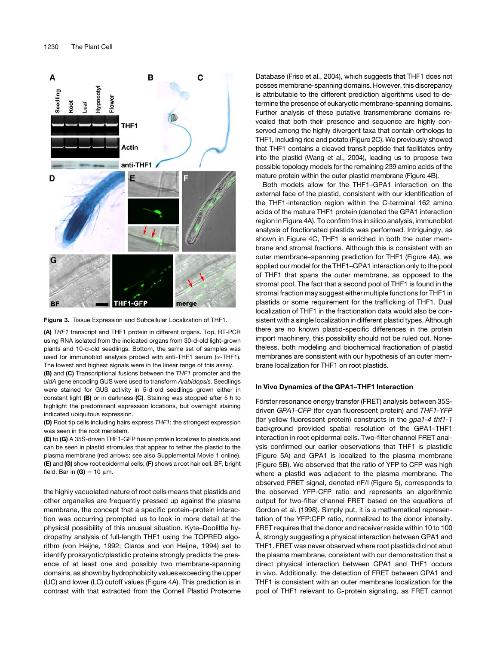

Figure 3. Tissue Expression and Subcellular Localization of THF1.

(A) *THF1* transcript and THF1 protein in different organs. Top, RT-PCR using RNA isolated from the indicated organs from 30-d-old light-grown plants and 10-d-old seedlings. Bottom, the same set of samples was used for immunoblot analysis probed with anti-THF1 serum ( $\alpha$ -THF1). The lowest and highest signals were in the linear range of this assay.

(B) and (C) Transcriptional fusions between the *THF1* promoter and the *uidA* gene encoding GUS were used to transform *Arabidopsis*. Seedlings were stained for GUS activity in 5-d-old seedlings grown either in constant light (B) or in darkness (C). Staining was stopped after 5 h to highlight the predominant expression locations, but overnight staining indicated ubiquitous expression.

(D) Root tip cells including hairs express *THF1*; the strongest expression was seen in the root meristem.

(E) to (G) A 35S-driven THF1-GFP fusion protein localizes to plastids and can be seen in plastid stromules that appear to tether the plastid to the plasma membrane (red arrows; see also Supplemental Movie 1 online). (E) and (G) show root epidermal cells; (F) shows a root hair cell. BF, bright field. Bar in  $(G) = 10 \mu m$ .

the highly vacuolated nature of root cells means that plastids and other organelles are frequently pressed up against the plasma membrane, the concept that a specific protein–protein interaction was occurring prompted us to look in more detail at the physical possibility of this unusual situation. Kyte–Doolittle hydropathy analysis of full-length THF1 using the TOPRED algorithm (von Heijne, 1992; Claros and von Heijne, 1994) set to identify prokaryotic/plastidic proteins strongly predicts the presence of at least one and possibly two membrane-spanning domains, as shown by hydrophobicity values exceeding the upper (UC) and lower (LC) cutoff values (Figure 4A). This prediction is in contrast with that extracted from the Cornell Plastid Proteome Database (Friso et al., 2004), which suggests that THF1 does not posses membrane-spanning domains. However, this discrepancy is attributable to the different prediction algorithms used to determine the presence of eukaryotic membrane-spanning domains. Further analysis of these putative transmembrane domains revealed that both their presence and sequence are highly conserved among the highly divergent taxa that contain orthologs to THF1, including rice and potato (Figure 2C). We previously showed that THF1 contains a cleaved transit peptide that facilitates entry into the plastid (Wang et al., 2004), leading us to propose two possible topology models for the remaining 239 amino acids of the mature protein within the outer plastid membrane (Figure 4B).

Both models allow for the THF1–GPA1 interaction on the external face of the plastid, consistent with our identification of the THF1-interaction region within the C-terminal 162 amino acids of the mature THF1 protein (denoted the GPA1 interaction region in Figure 4A). To confirm this in silico analysis, immunoblot analysis of fractionated plastids was performed. Intriguingly, as shown in Figure 4C, THF1 is enriched in both the outer membrane and stromal fractions. Although this is consistent with an outer membrane–spanning prediction for THF1 (Figure 4A), we applied our model for the THF1–GPA1 interaction only to the pool of THF1 that spans the outer membrane, as opposed to the stromal pool. The fact that a second pool of THF1 is found in the stromal fraction may suggest either multiple functions for THF1 in plastids or some requirement for the trafficking of THF1. Dual localization of THF1 in the fractionation data would also be consistent with a single localization in different plastid types. Although there are no known plastid-specific differences in the protein import machinery, this possibility should not be ruled out. Nonetheless, both modeling and biochemical fractionation of plastid membranes are consistent with our hypothesis of an outer membrane localization for THF1 on root plastids.

## In Vivo Dynamics of the GPA1–THF1 Interaction

Förster resonance energy transfer (FRET) analysis between 35Sdriven *GPA1-CFP* (for cyan fluorescent protein) and *THF1-YFP* (for yellow fluorescent protein) constructs in the *gpa1-4 thf1-1* background provided spatial resolution of the GPA1–THF1 interaction in root epidermal cells. Two-filter channel FRET analysis confirmed our earlier observations that THF1 is plastidic (Figure 5A) and GPA1 is localized to the plasma membrane (Figure 5B). We observed that the ratio of YFP to CFP was high where a plastid was adjacent to the plasma membrane. The observed FRET signal, denoted nF/I (Figure 5), corresponds to the observed YFP-CFP ratio and represents an algorithmic output for two-filter channel FRET based on the equations of Gordon et al. (1998). Simply put, it is a mathematical representation of the YFP:CFP ratio, normalized to the donor intensity. FRET requires that the donor and receiver reside within 10 to 100 Å, strongly suggesting a physical interaction between GPA1 and THF1. FRET was never observed where root plastids did not abut the plasma membrane, consistent with our demonstration that a direct physical interaction between GPA1 and THF1 occurs in vivo. Additionally, the detection of FRET between GPA1 and THF1 is consistent with an outer membrane localization for the pool of THF1 relevant to G-protein signaling, as FRET cannot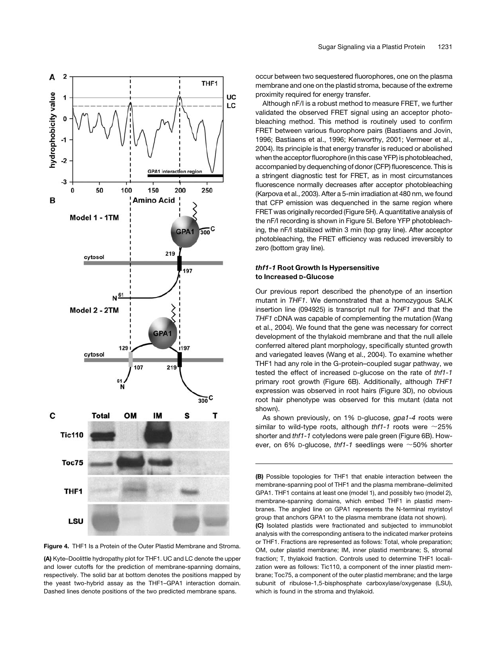



(A) Kyte–Doolittle hydropathy plot for THF1. UC and LC denote the upper and lower cutoffs for the prediction of membrane-spanning domains, respectively. The solid bar at bottom denotes the positions mapped by the yeast two-hybrid assay as the THF1–GPA1 interaction domain. Dashed lines denote positions of the two predicted membrane spans.

occur between two sequestered fluorophores, one on the plasma membrane and one on the plastid stroma, because of the extreme proximity required for energy transfer.

Although nF/I is a robust method to measure FRET, we further validated the observed FRET signal using an acceptor photobleaching method. This method is routinely used to confirm FRET between various fluorophore pairs (Bastiaens and Jovin, 1996; Bastiaens et al., 1996; Kenworthy, 2001; Vermeer et al., 2004). Its principle is that energy transfer is reduced or abolished when the acceptor fluorophore (in this case YFP) is photobleached, accompanied by dequenching of donor (CFP) fluorescence. This is a stringent diagnostic test for FRET, as in most circumstances fluorescence normally decreases after acceptor photobleaching (Karpova et al., 2003). After a 5-min irradiation at 480 nm, we found that CFP emission was dequenched in the same region where FRET was originally recorded (Figure 5H). A quantitative analysis of the nF/I recording is shown in Figure 5I. Before YFP photobleaching, the nF/I stabilized within 3 min (top gray line). After acceptor photobleaching, the FRET efficiency was reduced irreversibly to zero (bottom gray line).

# thf1-1 Root Growth Is Hypersensitive to Increased D-Glucose

Our previous report described the phenotype of an insertion mutant in *THF1*. We demonstrated that a homozygous SALK insertion line (094925) is transcript null for *THF1* and that the *THF1* cDNA was capable of complementing the mutation (Wang et al., 2004). We found that the gene was necessary for correct development of the thylakoid membrane and that the null allele conferred altered plant morphology, specifically stunted growth and variegated leaves (Wang et al., 2004). To examine whether THF1 had any role in the G-protein–coupled sugar pathway, we tested the effect of increased D-glucose on the rate of *thf1-1* primary root growth (Figure 6B). Additionally, although *THF1* expression was observed in root hairs (Figure 3D), no obvious root hair phenotype was observed for this mutant (data not shown).

As shown previously, on 1% D-glucose, *gpa1-4* roots were similar to wild-type roots, although *thf1-1* roots were  $\sim$ 25% shorter and *thf1-1* cotyledons were pale green (Figure 6B). However, on 6% D-glucose,  $thf1-1$  seedlings were  $\sim$ 50% shorter

(B) Possible topologies for THF1 that enable interaction between the membrane-spanning pool of THF1 and the plasma membrane–delimited GPA1. THF1 contains at least one (model 1), and possibly two (model 2), membrane-spanning domains, which embed THF1 in plastid membranes. The angled line on GPA1 represents the N-terminal myristoyl group that anchors GPA1 to the plasma membrane (data not shown). (C) Isolated plastids were fractionated and subjected to immunoblot analysis with the corresponding antisera to the indicated marker proteins or THF1. Fractions are represented as follows: Total, whole preparation; OM, outer plastid membrane; IM, inner plastid membrane; S, stromal fraction; T, thylakoid fraction. Controls used to determine THF1 localization were as follows: Tic110, a component of the inner plastid membrane; Toc75, a component of the outer plastid membrane; and the large subunit of ribulose-1,5-bisphosphate carboxylase/oxygenase (LSU), which is found in the stroma and thylakoid.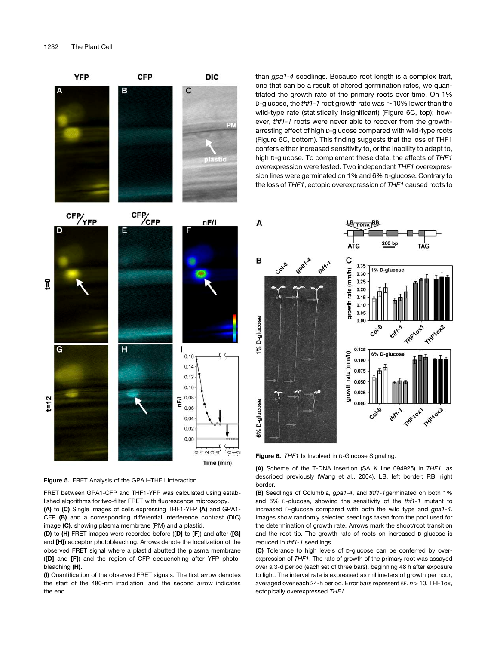

Figure 5. FRET Analysis of the GPA1-THF1 Interaction.

FRET between GPA1-CFP and THF1-YFP was calculated using established algorithms for two-filter FRET with fluorescence microscopy.

(A) to (C) Single images of cells expressing THF1-YFP (A) and GPA1- CFP (B) and a corresponding differential interference contrast (DIC) image (C), showing plasma membrane (PM) and a plastid.

(D) to (H) FRET images were recorded before ([D] to [F]) and after ([G] and [H]) acceptor photobleaching. Arrows denote the localization of the observed FRET signal where a plastid abutted the plasma membrane ([D] and [F]) and the region of CFP dequenching after YFP photobleaching (H).

(I) Quantification of the observed FRET signals. The first arrow denotes the start of the 480-nm irradiation, and the second arrow indicates the end.

than *gpa1-4* seedlings. Because root length is a complex trait, one that can be a result of altered germination rates, we quantitated the growth rate of the primary roots over time. On 1% D-glucose, the *thf1-1* root growth rate was  $\sim$  10% lower than the wild-type rate (statistically insignificant) (Figure 6C, top); however, *thf1-1* roots were never able to recover from the growtharresting effect of high D-glucose compared with wild-type roots (Figure 6C, bottom). This finding suggests that the loss of THF1 confers either increased sensitivity to, or the inability to adapt to, high D-glucose. To complement these data, the effects of *THF1* overexpression were tested. Two independent *THF1* overexpression lines were germinated on 1% and 6% D-glucose. Contrary to the loss of *THF1*, ectopic overexpression of *THF1* caused roots to

![](_page_6_Figure_8.jpeg)

Figure 6. *THF1* Is Involved in D-Glucose Signaling.

(A) Scheme of the T-DNA insertion (SALK line 094925) in *THF1*, as described previously (Wang et al., 2004). LB, left border; RB, right border.

(B) Seedlings of Columbia, *gpa1-4*, and *thf1-1*germinated on both 1% and 6% D-glucose, showing the sensitivity of the *thf1-1* mutant to increased D-glucose compared with both the wild type and *gpa1-4*. Images show randomly selected seedlings taken from the pool used for the determination of growth rate. Arrows mark the shoot/root transition and the root tip. The growth rate of roots on increased D-glucose is reduced in *thf1-1* seedlings.

(C) Tolerance to high levels of D-glucose can be conferred by overexpression of *THF1*. The rate of growth of the primary root was assayed over a 3-d period (each set of three bars), beginning 48 h after exposure to light. The interval rate is expressed as millimeters of growth per hour, averaged over each 24-h period. Error bars represent SE. *n* > 10. THF1ox, ectopically overexpressed *THF1*.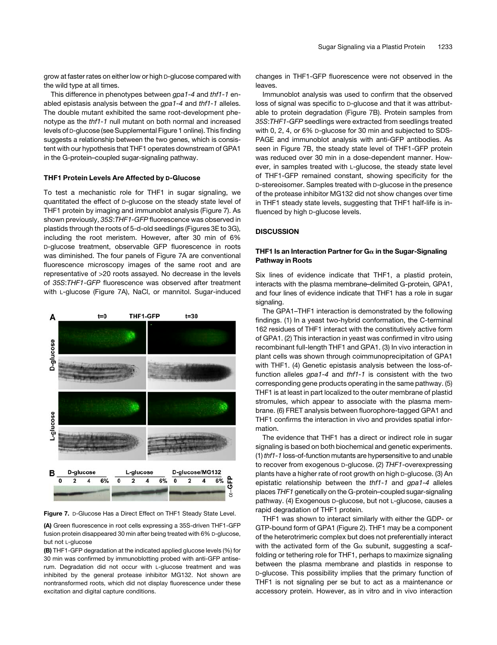grow at faster rates on either low or high D-glucose compared with the wild type at all times.

This difference in phenotypes between *gpa1-4* and *thf1-1* enabled epistasis analysis between the *gpa1-4* and *thf1-1* alleles. The double mutant exhibited the same root-development phenotype as the *thf1-1* null mutant on both normal and increased levels of D-glucose (see Supplemental Figure 1 online). This finding suggests a relationship between the two genes, which is consistent with our hypothesis that THF1 operates downstream of GPA1 in the G-protein–coupled sugar-signaling pathway.

## THF1 Protein Levels Are Affected by D-Glucose

To test a mechanistic role for THF1 in sugar signaling, we quantitated the effect of D-glucose on the steady state level of THF1 protein by imaging and immunoblot analysis (Figure 7). As shown previously, *35S*:*THF1-GFP* fluorescence was observed in plastids through the roots of 5-d-old seedlings (Figures 3E to 3G), including the root meristem. However, after 30 min of 6% D-glucose treatment, observable GFP fluorescence in roots was diminished. The four panels of Figure 7A are conventional fluorescence microscopy images of the same root and are representative of >20 roots assayed. No decrease in the levels of *35S*:*THF1-GFP* fluorescence was observed after treatment with L-glucose (Figure 7A), NaCl, or mannitol. Sugar-induced

![](_page_7_Figure_5.jpeg)

Figure 7. D-Glucose Has a Direct Effect on THF1 Steady State Level.

(A) Green fluorescence in root cells expressing a 35S-driven THF1-GFP fusion protein disappeared 30 min after being treated with 6% D-glucose, but not L-alucose

(B) THF1-GFP degradation at the indicated applied glucose levels (%) for 30 min was confirmed by immunoblotting probed with anti-GFP antiserum. Degradation did not occur with L-glucose treatment and was inhibited by the general protease inhibitor MG132. Not shown are nontransformed roots, which did not display fluorescence under these excitation and digital capture conditions.

changes in THF1-GFP fluorescence were not observed in the leaves.

Immunoblot analysis was used to confirm that the observed loss of signal was specific to D-glucose and that it was attributable to protein degradation (Figure 7B). Protein samples from *35S*:*THF1-GFP* seedlings were extracted from seedlings treated with 0, 2, 4, or 6% D-glucose for 30 min and subjected to SDS-PAGE and immunoblot analysis with anti-GFP antibodies. As seen in Figure 7B, the steady state level of THF1-GFP protein was reduced over 30 min in a dose-dependent manner. However, in samples treated with L-glucose, the steady state level of THF1-GFP remained constant, showing specificity for the D-stereoisomer. Samples treated with D-glucose in the presence of the protease inhibitor MG132 did not show changes over time in THF1 steady state levels, suggesting that THF1 half-life is influenced by high D-glucose levels.

# **DISCUSSION**

# THF1 Is an Interaction Partner for  $G\alpha$  in the Sugar-Signaling Pathway in Roots

Six lines of evidence indicate that THF1, a plastid protein, interacts with the plasma membrane–delimited G-protein, GPA1, and four lines of evidence indicate that THF1 has a role in sugar signaling.

The GPA1–THF1 interaction is demonstrated by the following findings. (1) In a yeast two-hybrid conformation, the C-terminal 162 residues of THF1 interact with the constitutively active form of GPA1. (2) This interaction in yeast was confirmed in vitro using recombinant full-length THF1 and GPA1. (3) In vivo interaction in plant cells was shown through coimmunoprecipitation of GPA1 with THF1. (4) Genetic epistasis analysis between the loss-offunction alleles *gpa1-4* and *thf1-1* is consistent with the two corresponding gene products operating in the same pathway. (5) THF1 is at least in part localized to the outer membrane of plastid stromules, which appear to associate with the plasma membrane. (6) FRET analysis between fluorophore-tagged GPA1 and THF1 confirms the interaction in vivo and provides spatial information.

The evidence that THF1 has a direct or indirect role in sugar signaling is based on both biochemical and genetic experiments. (1) *thf1-1* loss-of-function mutants are hypersensitive to and unable to recover from exogenous D-glucose. (2) *THF1*-overexpressing plants have a higher rate of root growth on high D-glucose. (3) An epistatic relationship between the *thf1-1* and *gpa1-4* alleles places *THF1* genetically on the G-protein–coupled sugar-signaling pathway. (4) Exogenous D-glucose, but not L-glucose, causes a rapid degradation of THF1 protein.

THF1 was shown to interact similarly with either the GDP- or GTP-bound form of GPA1 (Figure 2). THF1 may be a component of the heterotrimeric complex but does not preferentially interact with the activated form of the  $Ga$  subunit, suggesting a scaffolding or tethering role for THF1, perhaps to maximize signaling between the plasma membrane and plastids in response to D-glucose. This possibility implies that the primary function of THF1 is not signaling per se but to act as a maintenance or accessory protein. However, as in vitro and in vivo interaction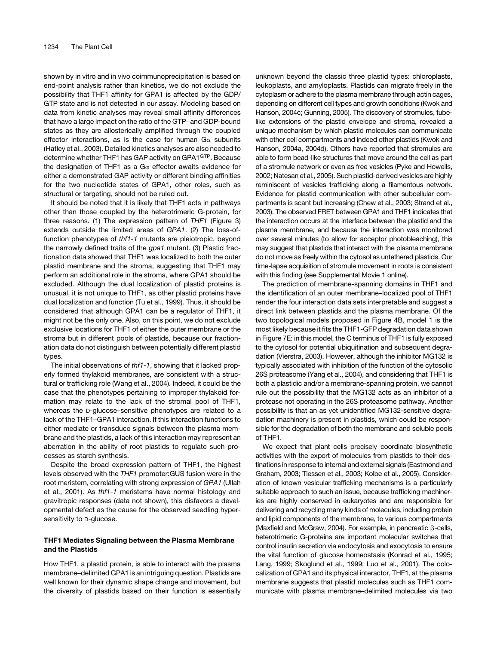shown by in vitro and in vivo coimmunoprecipitation is based on end-point analysis rather than kinetics, we do not exclude the possibility that THF1 affinity for GPA1 is affected by the GDP/ GTP state and is not detected in our assay. Modeling based on data from kinetic analyses may reveal small affinity differences that have a large impact on the ratio of the GTP- and GDP-bound states as they are allosterically amplified through the coupled effector interactions, as is the case for human  $Ga$  subunits (Hatley et al., 2003). Detailed kinetics analyses are also needed to determine whether THF1 has GAP activity on GPA1GTP. Because the designation of THF1 as a  $G_{\alpha}$  effector awaits evidence for either a demonstrated GAP activity or different binding affinities for the two nucleotide states of GPA1, other roles, such as structural or targeting, should not be ruled out.

It should be noted that it is likely that THF1 acts in pathways other than those coupled by the heterotrimeric G-protein, for three reasons. (1) The expression pattern of *THF1* (Figure 3) extends outside the limited areas of *GPA1*. (2) The loss-offunction phenotypes of *thf1-1* mutants are pleiotropic, beyond the narrowly defined traits of the *gpa1* mutant. (3) Plastid fractionation data showed that THF1 was localized to both the outer plastid membrane and the stroma, suggesting that THF1 may perform an additional role in the stroma, where GPA1 should be excluded. Although the dual localization of plastid proteins is unusual, it is not unique to THF1, as other plastid proteins have dual localization and function (Tu et al., 1999). Thus, it should be considered that although GPA1 can be a regulator of THF1, it might not be the only one. Also, on this point, we do not exclude exclusive locations for THF1 of either the outer membrane or the stroma but in different pools of plastids, because our fractionation data do not distinguish between potentially different plastid types.

The initial observations of *thf1-1*, showing that it lacked properly formed thylakoid membranes, are consistent with a structural or trafficking role (Wang et al., 2004). Indeed, it could be the case that the phenotypes pertaining to improper thylakoid formation may relate to the lack of the stromal pool of THF1, whereas the D-glucose–sensitive phenotypes are related to a lack of the THF1–GPA1 interaction. If this interaction functions to either mediate or transduce signals between the plasma membrane and the plastids, a lack of this interaction may represent an aberration in the ability of root plastids to regulate such processes as starch synthesis.

Despite the broad expression pattern of THF1, the highest levels observed with the *THF1* promoter:GUS fusion were in the root meristem, correlating with strong expression of *GPA1* (Ullah et al., 2001). As *thf1-1* meristems have normal histology and gravitropic responses (data not shown), this disfavors a developmental defect as the cause for the observed seedling hypersensitivity to D-glucose.

## THF1 Mediates Signaling between the Plasma Membrane and the Plastids

How THF1, a plastid protein, is able to interact with the plasma membrane–delimited GPA1 is an intriguing question. Plastids are well known for their dynamic shape change and movement, but the diversity of plastids based on their function is essentially unknown beyond the classic three plastid types: chloroplasts, leukoplasts, and amyloplasts. Plastids can migrate freely in the cytoplasm or adhere to the plasma membrane through actin cages, depending on different cell types and growth conditions (Kwok and Hanson, 2004c; Gunning, 2005). The discovery of stromules, tubelike extensions of the plastid envelope and stroma, revealed a unique mechanism by which plastid molecules can communicate with other cell compartments and indeed other plastids (Kwok and Hanson, 2004a, 2004d). Others have reported that stromules are able to form bead-like structures that move around the cell as part of a stromule network or even as free vesicles (Pyke and Howells, 2002; Natesan et al., 2005). Such plastid-derived vesicles are highly reminiscent of vesicles trafficking along a filamentous network. Evidence for plastid communication with other subcellular compartments is scant but increasing (Chew et al., 2003; Strand et al., 2003). The observed FRET between GPA1 and THF1 indicates that the interaction occurs at the interface between the plastid and the plasma membrane, and because the interaction was monitored over several minutes (to allow for acceptor photobleaching), this may suggest that plastids that interact with the plasma membrane do not move as freely within the cytosol as untethered plastids. Our time-lapse acquisition of stromule movement in roots is consistent with this finding (see Supplemental Movie 1 online).

The prediction of membrane-spanning domains in THF1 and the identification of an outer membrane–localized pool of THF1 render the four interaction data sets interpretable and suggest a direct link between plastids and the plasma membrane. Of the two topological models proposed in Figure 4B, model 1 is the most likely because it fits the THF1-GFP degradation data shown in Figure 7E: in this model, the C terminus of THF1 is fully exposed to the cytosol for potential ubiquitination and subsequent degradation (Vierstra, 2003). However, although the inhibitor MG132 is typically associated with inhibition of the function of the cytosolic 26S proteasome (Yang et al., 2004), and considering that THF1 is both a plastidic and/or a membrane-spanning protein, we cannot rule out the possibility that the MG132 acts as an inhibitor of a protease not operating in the 26S proteasome pathway. Another possibility is that an as yet unidentified MG132-sensitive degradation machinery is present in plastids, which could be responsible for the degradation of both the membrane and soluble pools of THF1.

We expect that plant cells precisely coordinate biosynthetic activities with the export of molecules from plastids to their destinations in response to internal and external signals (Eastmond and Graham, 2003; Tiessen et al., 2003; Kolbe et al., 2005). Consideration of known vesicular trafficking mechanisms is a particularly suitable approach to such an issue, because trafficking machineries are highly conserved in eukaryotes and are responsible for delivering and recycling many kinds of molecules, including protein and lipid components of the membrane, to various compartments (Maxfield and McGraw, 2004). For example, in pancreatic  $\beta$ -cells, heterotrimeric G-proteins are important molecular switches that control insulin secretion via endocytosis and exocytosis to ensure the vital function of glucose homeostasis (Konrad et al., 1995; Lang, 1999; Skoglund et al., 1999; Luo et al., 2001). The colocalization of GPA1 and its physical interactor, THF1, at the plasma membrane suggests that plastid molecules such as THF1 communicate with plasma membrane–delimited molecules via two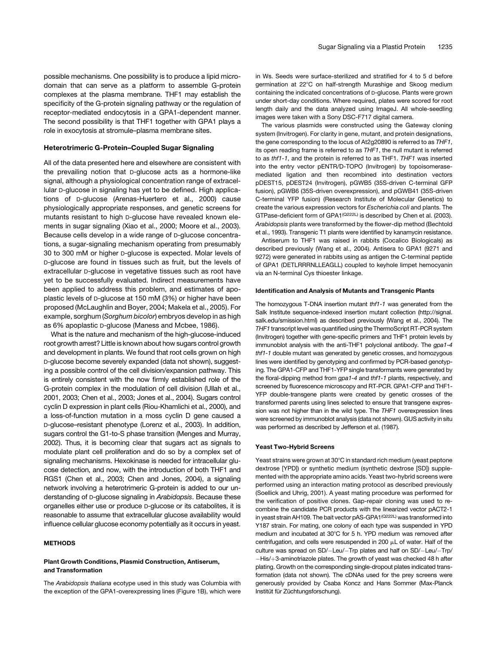possible mechanisms. One possibility is to produce a lipid microdomain that can serve as a platform to assemble G-protein complexes at the plasma membrane. THF1 may establish the specificity of the G-protein signaling pathway or the regulation of receptor-mediated endocytosis in a GPA1-dependent manner. The second possibility is that THF1 together with GPA1 plays a role in exocytosis at stromule–plasma membrane sites.

# Heterotrimeric G-Protein–Coupled Sugar Signaling

All of the data presented here and elsewhere are consistent with the prevailing notion that D-glucose acts as a hormone-like signal, although a physiological concentration range of extracellular D-glucose in signaling has yet to be defined. High applications of D-glucose (Arenas-Huertero et al., 2000) cause physiologically appropriate responses, and genetic screens for mutants resistant to high D-glucose have revealed known elements in sugar signaling (Xiao et al., 2000; Moore et al., 2003). Because cells develop in a wide range of D-glucose concentrations, a sugar-signaling mechanism operating from presumably 30 to 300 mM or higher D-glucose is expected. Molar levels of D-glucose are found in tissues such as fruit, but the levels of extracellular D-glucose in vegetative tissues such as root have yet to be successfully evaluated. Indirect measurements have been applied to address this problem, and estimates of apoplastic levels of D-glucose at 150 mM (3%) or higher have been proposed (McLaughlin and Boyer, 2004; Makela et al., 2005). For example, sorghum (*Sorghum bicolor*) embryos develop in as high as 6% apoplastic D-glucose (Maness and Mcbee, 1986).

What is the nature and mechanism of the high-glucose-induced root growth arrest? Little is known about how sugars control growth and development in plants. We found that root cells grown on high D-glucose become severely expanded (data not shown), suggesting a possible control of the cell division/expansion pathway. This is entirely consistent with the now firmly established role of the G-protein complex in the modulation of cell division (Ullah et al., 2001, 2003; Chen et al., 2003; Jones et al., 2004). Sugars control cyclin D expression in plant cells (Riou-Khamlichi et al., 2000), and a loss-of-function mutation in a moss cyclin D gene caused a D-glucose–resistant phenotype (Lorenz et al., 2003). In addition, sugars control the G1-to-S phase transition (Menges and Murray, 2002). Thus, it is becoming clear that sugars act as signals to modulate plant cell proliferation and do so by a complex set of signaling mechanisms. Hexokinase is needed for intracellular glucose detection, and now, with the introduction of both THF1 and RGS1 (Chen et al., 2003; Chen and Jones, 2004), a signaling network involving a heterotrimeric G-protein is added to our understanding of D-glucose signaling in *Arabidopsis*. Because these organelles either use or produce D-glucose or its catabolites, it is reasonable to assume that extracellular glucose availability would influence cellular glucose economy potentially as it occurs in yeast.

## METHODS

## Plant Growth Conditions, Plasmid Construction, Antiserum, and Transformation

The *Arabidopsis thaliana* ecotype used in this study was Columbia with the exception of the GPA1-overexpressing lines (Figure 1B), which were in Ws. Seeds were surface-sterilized and stratified for 4 to 5 d before germination at 22°C on half-strength Murashige and Skoog medium containing the indicated concentrations of D-glucose. Plants were grown under short-day conditions. Where required, plates were scored for root length daily and the data analyzed using ImageJ. All whole-seedling images were taken with a Sony DSC-F717 digital camera.

The various plasmids were constructed using the Gateway cloning system (Invitrogen). For clarity in gene, mutant, and protein designations, the gene corresponding to the locus of At2g20890 is referred to as *THF1*, its open reading frame is referred to as *THF1*, the null mutant is referred to as *thf1-1*, and the protein is referred to as THF1. *THF1* was inserted into the entry vector pENTR/D-TOPO (Invitrogen) by topoisomerasemediated ligation and then recombined into destination vectors pDEST15, pDEST24 (Invitrogen), pGWB5 (35S-driven C-terminal GFP fusion), pGWB6 (35S-driven overexpression), and pGWB41 (35S-driven C-terminal YFP fusion) (Research Institute of Molecular Genetics) to create the various expression vectors for *Escherichia coli* and plants. The GTPase-deficient form of GPA1<sup>(Q222L)</sup> is described by Chen et al. (2003). *Arabidopsis* plants were transformed by the flower-dip method (Bechtold et al., 1993). Transgenic T1 plants were identified by kanamycin resistance.

Antiserum to THF1 was raised in rabbits (Cocalico Biologicals) as described previously (Wang et al., 2004). Antisera to GPA1 (9271 and 9272) were generated in rabbits using as antigen the C-terminal peptide of GPA1 (DETLRRRNLLEAGLL) coupled to keyhole limpet hemocyanin via an N-terminal Cys thioester linkage.

#### Identification and Analysis of Mutants and Transgenic Plants

The homozygous T-DNA insertion mutant *thf1-1* was generated from the Salk Institute sequence-indexed insertion mutant collection (http://signal. salk.edu/smission.html) as described previously (Wang et al., 2004). The *THF1* transcript level was quantified using the ThermoScript RT-PCR system (Invitrogen) together with gene-specific primers and THF1 protein levels by immunoblot analysis with the anti-THF1 polyclonal antibody. The *gpa1-4 thf1-1* double mutant was generated by genetic crosses, and homozygous lines were identified by genotyping and confirmed by PCR-based genotyping. The GPA1-CFP and THF1-YFP single transformants were generated by the floral-dipping method from *gpa1-4* and *thf1-1* plants, respectively, and screened by fluorescence microscopy and RT-PCR. GPA1-CFP and THF1- YFP double-transgene plants were created by genetic crosses of the transformed parents using lines selected to ensure that transgene expression was not higher than in the wild type. The *THF1* overexpression lines were screened by immunoblot analysis (data not shown). GUS activity in situ was performed as described by Jefferson et al. (1987).

## Yeast Two-Hybrid Screens

Yeast strains were grown at 30°C in standard rich medium (yeast peptone dextrose [YPD]) or synthetic medium (synthetic dextrose [SD]) supplemented with the appropriate amino acids. Yeast two-hybrid screens were performed using an interaction mating protocol as described previously (Soellick and Uhrig, 2001). A yeast mating procedure was performed for the verification of positive clones. Gap-repair cloning was used to recombine the candidate PCR products with the linearized vector pACT2-1 in yeast strain AH109. The bait vector pAS-GPA1<sup>(Q222L)</sup> was transformed into Y187 strain. For mating, one colony of each type was suspended in YPD medium and incubated at 30°C for 5 h. YPD medium was removed after centrifugation, and cells were resuspended in 200  $\mu$ L of water. Half of the culture was spread on SD/-Leu/-Trp plates and half on SD/-Leu/-Trp/ -His/+3-aminotriazole plates. The growth of yeast was checked 48 h after plating. Growth on the corresponding single-dropout plates indicated transformation (data not shown). The cDNAs used for the prey screens were generously provided by Csaba Koncz and Hans Sommer (Max-Planck Institüt für Züchtungsforschung).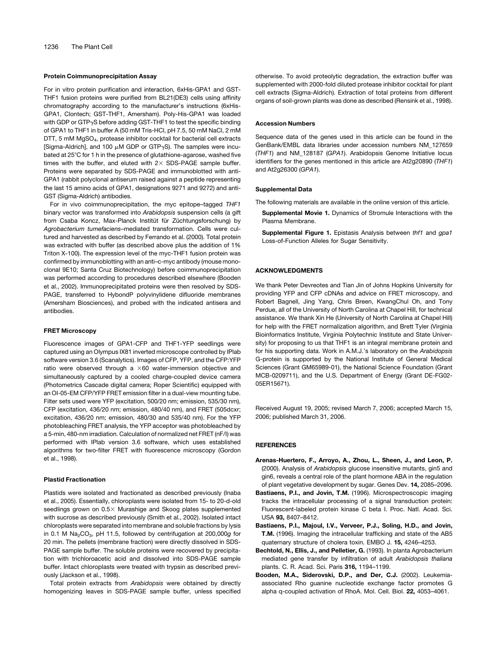#### Protein Coimmunoprecipitation Assay

For in vitro protein purification and interaction, 6xHis-GPA1 and GST-THF1 fusion proteins were purified from BL21(DE3) cells using affinity chromatography according to the manufacturer's instructions (6xHis-GPA1, Clontech; GST-THF1, Amersham). Poly-His-GPA1 was loaded with GDP or GTP<sub>y</sub>S before adding GST-THF1 to test the specific binding of GPA1 to THF1 in buffer A (50 mM Tris-HCl, pH 7.5, 50 mM NaCl, 2 mM DTT, 5 mM MgSO4, protease inhibitor cocktail for bacterial cell extracts [Sigma-Aldrich], and 100  $\mu$ M GDP or GTP $\gamma$ S). The samples were incubated at 25°C for 1 h in the presence of glutathione-agarose, washed five times with the buffer, and eluted with  $2 \times$  SDS-PAGE sample buffer. Proteins were separated by SDS-PAGE and immunoblotted with anti-GPA1 (rabbit polyclonal antiserum raised against a peptide representing the last 15 amino acids of GPA1, designations 9271 and 9272) and anti-GST (Sigma-Aldrich) antibodies.

For in vivo coimmunoprecipitation, the myc epitope–tagged *THF1* binary vector was transformed into *Arabidopsis* suspension cells (a gift from Csaba Koncz, Max-Planck Institüt für Züchtungsforschung) by *Agrobacterium tumefaciens*–mediated transformation. Cells were cultured and harvested as described by Ferrando et al. (2000). Total protein was extracted with buffer (as described above plus the addition of 1% Triton X-100). The expression level of the myc-THF1 fusion protein was confirmed by immunoblotting with an anti–c-myc antibody (mouse monoclonal 9E10; Santa Cruz Biotechnology) before coimmunoprecipitation was performed according to procedures described elsewhere (Booden et al., 2002). Immunoprecipitated proteins were then resolved by SDS-PAGE, transferred to HybondP polyvinylidene difluoride membranes (Amersham Biosciences), and probed with the indicated antisera and antibodies.

#### FRET Microscopy

Fluorescence images of GPA1-CFP and THF1-YFP seedlings were captured using an Olympus IX81 inverted microscope controlled by IPlab software version 3.6 (Scanalytics). Images of CFP, YFP, and the CFP:YFP ratio were observed through a  $\times 60$  water-immersion objective and simultaneously captured by a cooled charge-coupled device camera (Photometrics Cascade digital camera; Roper Scientific) equipped with an OI-05-EM CFP/YFP FRET emission filter in a dual-view mounting tube. Filter sets used were YFP (excitation, 500/20 nm; emission, 535/30 nm), CFP (excitation, 436/20 nm; emission, 480/40 nm), and FRET (505dcxr; excitation, 436/20 nm; emission, 480/30 and 535/40 nm). For the YFP photobleaching FRET analysis, the YFP acceptor was photobleached by a 5-min, 480-nm irradiation. Calculation of normalized net FRET (nF/I) was performed with IPlab version 3.6 software, which uses established algorithms for two-filter FRET with fluorescence microscopy (Gordon et al., 1998).

#### Plastid Fractionation

Plastids were isolated and fractionated as described previously (Inaba et al., 2005). Essentially, chloroplasts were isolated from 15- to 20-d-old seedlings grown on  $0.5\times$  Murashige and Skoog plates supplemented with sucrose as described previously (Smith et al., 2002). Isolated intact chloroplasts were separated into membrane and soluble fractions by lysis in 0.1 M Na<sub>2</sub>CO<sub>3</sub>, pH 11.5, followed by centrifugation at 200,000g for 20 min. The pellets (membrane fraction) were directly dissolved in SDS-PAGE sample buffer. The soluble proteins were recovered by precipitation with trichloroacetic acid and dissolved into SDS-PAGE sample buffer. Intact chloroplasts were treated with trypsin as described previously (Jackson et al., 1998).

Total protein extracts from *Arabidopsis* were obtained by directly homogenizing leaves in SDS-PAGE sample buffer, unless specified otherwise. To avoid proteolytic degradation, the extraction buffer was supplemented with 2000-fold diluted protease inhibitor cocktail for plant cell extracts (Sigma-Aldrich). Extraction of total proteins from different organs of soil-grown plants was done as described (Rensink et al., 1998).

#### Accession Numbers

Sequence data of the genes used in this article can be found in the GenBank/EMBL data libraries under accession numbers NM\_127659 (*THF1*) and NM\_128187 (*GPA1*). Arabidopsis Genome Initiative locus identifiers for the genes mentioned in this article are At2g20890 (*THF1*) and At2g26300 (*GPA1*).

## Supplemental Data

The following materials are available in the online version of this article.

- Supplemental Movie 1. Dynamics of Stromule Interactions with the Plasma Membrane.
- Supplemental Figure 1. Epistasis Analysis between *thf1* and *gpa1* Loss-of-Function Alleles for Sugar Sensitivity.

#### ACKNOWLEDGMENTS

We thank Peter Devreotes and Tian Jin of Johns Hopkins University for providing YFP and CFP cDNAs and advice on FRET microscopy, and Robert Bagnell, Jing Yang, Chris Breen, KwangChul Oh, and Tony Perdue, all of the University of North Carolina at Chapel Hill, for technical assistance. We thank Xin He (University of North Carolina at Chapel Hill) for help with the FRET normalization algorithm, and Brett Tyler (Virginia Bioinformatics Institute, Virginia Polytechnic Institute and State University) for proposing to us that THF1 is an integral membrane protein and for his supporting data. Work in A.M.J.'s laboratory on the *Arabidopsis* G-protein is supported by the National Institute of General Medical Sciences (Grant GM65989-01), the National Science Foundation (Grant MCB-0209711), and the U.S. Department of Energy (Grant DE-FG02- 05ER15671).

Received August 19, 2005; revised March 7, 2006; accepted March 15, 2006; published March 31, 2006.

#### **REFERENCES**

- Arenas-Huertero, F., Arroyo, A., Zhou, L., Sheen, J., and Leon, P. (2000). Analysis of *Arabidopsis* glucose insensitive mutants, gin5 and gin6, reveals a central role of the plant hormone ABA in the regulation of plant vegetative development by sugar. Genes Dev. 14, 2085–2096.
- Bastiaens, P.I., and Jovin, T.M. (1996). Microspectroscopic imaging tracks the intracellular processing of a signal transduction protein: Fluorescent-labeled protein kinase C beta I. Proc. Natl. Acad. Sci. USA 93, 8407–8412.
- Bastiaens, P.I., Majoul, I.V., Verveer, P.J., Soling, H.D., and Jovin, T.M. (1996). Imaging the intracellular trafficking and state of the AB5 quaternary structure of cholera toxin. EMBO J. 15, 4246–4253.
- Bechtold, N., Ellis, J., and Pelletier, G. (1993). In planta Agrobacterium mediated gene transfer by infiltration of adult *Arabidopsis thaliana* plants. C. R. Acad. Sci. Paris 316, 1194–1199.
- Booden, M.A., Siderovski, D.P., and Der, C.J. (2002). Leukemiaassociated Rho guanine nucleotide exchange factor promotes G alpha q-coupled activation of RhoA. Mol. Cell. Biol. 22, 4053–4061.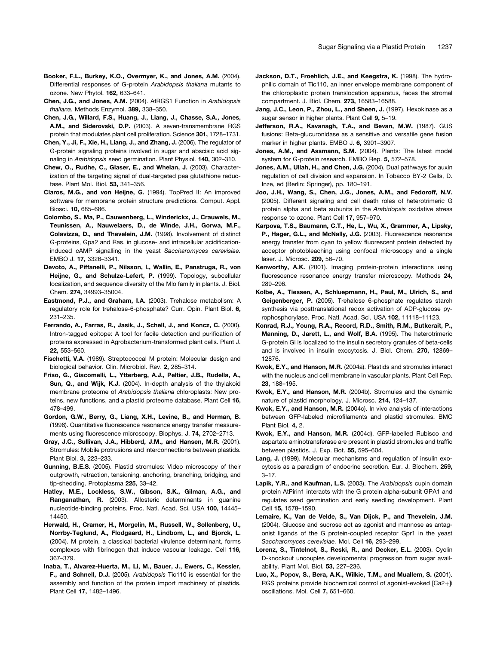- Booker, F.L., Burkey, K.O., Overmyer, K., and Jones, A.M. (2004). Differential responses of G-protein *Arabidopsis thaliana* mutants to ozone. New Phytol. 162, 633–641.
- Chen, J.G., and Jones, A.M. (2004). AtRGS1 Function in *Arabidopsis thaliana.* Methods Enzymol. 389, 338–350.
- Chen, J.G., Willard, F.S., Huang, J., Liang, J., Chasse, S.A., Jones, A.M., and Siderovski, D.P. (2003). A seven-transmembrane RGS protein that modulates plant cell proliferation. Science 301, 1728–1731.
- Chen, Y., Ji, F., Xie, H., Liang, J., and Zhang, J. (2006). The regulator of G-protein signaling proteins involved in sugar and abscisic acid signaling in *Arabidopsis* seed germination. Plant Physiol. 140, 302–310.
- Chew, O., Rudhe, C., Glaser, E., and Whelan, J. (2003). Characterization of the targeting signal of dual-targeted pea glutathione reductase. Plant Mol. Biol. 53, 341–356.
- Claros, M.G., and von Heijne, G. (1994). TopPred II: An improved software for membrane protein structure predictions. Comput. Appl. Biosci. 10, 685–686.
- Colombo, S., Ma, P., Cauwenberg, L., Winderickx, J., Crauwels, M., Teunissen, A., Nauwelaers, D., de Winde, J.H., Gorwa, M.F., Colavizza, D., and Thevelein, J.M. (1998). Involvement of distinct G-proteins, Gpa2 and Ras, in glucose- and intracellular acidificationinduced cAMP signalling in the yeast *Saccharomyces cerevisiae.* EMBO J. 17, 3326–3341.
- Devoto, A., Piffanelli, P., Nilsson, I., Wallin, E., Panstruga, R., von Heijne, G., and Schulze-Lefert, P. (1999). Topology, subcellular localization, and sequence diversity of the Mlo family in plants. J. Biol. Chem. 274, 34993–35004.
- Eastmond, P.J., and Graham, I.A. (2003). Trehalose metabolism: A regulatory role for trehalose-6-phosphate? Curr. Opin. Plant Biol. 6, 231–235.
- Ferrando, A., Farras, R., Jasik, J., Schell, J., and Koncz, C. (2000). Intron-tagged epitope: A tool for facile detection and purification of proteins expressed in Agrobacterium-transformed plant cells. Plant J. 22, 553–560.
- Fischetti, V.A. (1989). Streptococcal M protein: Molecular design and biological behavior. Clin. Microbiol. Rev. 2, 285–314.
- Friso, G., Giacomelli, L., Ytterberg, A.J., Peltier, J.B., Rudella, A., Sun, Q., and Wijk, K.J. (2004). In-depth analysis of the thylakoid membrane proteome of *Arabidopsis thaliana* chloroplasts: New proteins, new functions, and a plastid proteome database. Plant Cell 16, 478–499.
- Gordon, G.W., Berry, G., Liang, X.H., Levine, B., and Herman, B. (1998). Quantitative fluorescence resonance energy transfer measurements using fluorescence microscopy. Biophys. J. 74, 2702–2713.
- Gray, J.C., Sullivan, J.A., Hibberd, J.M., and Hansen, M.R. (2001). Stromules: Mobile protrusions and interconnections between plastids. Plant Biol. 3, 223–233.
- Gunning, B.E.S. (2005). Plastid stromules: Video microscopy of their outgrowth, retraction, tensioning, anchoring, branching, bridging, and tip-shedding. Protoplasma 225, 33–42.
- Hatley, M.E., Lockless, S.W., Gibson, S.K., Gilman, A.G., and Ranganathan, R. (2003). Allosteric determinants in guanine nucleotide-binding proteins. Proc. Natl. Acad. Sci. USA 100, 14445– 14450.
- Herwald, H., Cramer, H., Morgelin, M., Russell, W., Sollenberg, U., Norrby-Teglund, A., Flodgaard, H., Lindbom, L., and Bjorck, L. (2004). M protein, a classical bacterial virulence determinant, forms complexes with fibrinogen that induce vascular leakage. Cell 116, 367–379.
- Inaba, T., Alvarez-Huerta, M., Li, M., Bauer, J., Ewers, C., Kessler, F., and Schnell, D.J. (2005). *Arabidopsis* Tic110 is essential for the assembly and function of the protein import machinery of plastids. Plant Cell 17, 1482–1496.
- Jackson, D.T., Froehlich, J.E., and Keegstra, K. (1998). The hydrophilic domain of Tic110, an inner envelope membrane component of the chloroplastic protein translocation apparatus, faces the stromal compartment. J. Biol. Chem. 273, 16583–16588.
- Jang, J.C., Leon, P., Zhou, L., and Sheen, J. (1997). Hexokinase as a sugar sensor in higher plants. Plant Cell 9, 5–19.
- Jefferson, R.A., Kavanagh, T.A., and Bevan, M.W. (1987). GUS fusions: Beta-glucuronidase as a sensitive and versatile gene fusion marker in higher plants. EMBO J. 6, 3901–3907.
- Jones, A.M., and Assmann, S.M. (2004). Plants: The latest model system for G-protein research. EMBO Rep. 5, 572–578.
- Jones, A.M., Ullah, H., and Chen, J.G. (2004). Dual pathways for auxin regulation of cell division and expansion. In Tobacco BY-2 Cells, D. Inze, ed (Berlin: Springer), pp. 180–191.
- Joo, J.H., Wang, S., Chen, J.G., Jones, A.M., and Fedoroff, N.V. (2005). Different signaling and cell death roles of heterotrimeric G protein alpha and beta subunits in the *Arabidopsis* oxidative stress response to ozone. Plant Cell 17, 957–970.
- Karpova, T.S., Baumann, C.T., He, L., Wu, X., Grammer, A., Lipsky, P., Hager, G.L., and McNally, J.G. (2003). Fluorescence resonance energy transfer from cyan to yellow fluorescent protein detected by acceptor photobleaching using confocal microscopy and a single laser. J. Microsc. 209, 56–70.
- Kenworthy, A.K. (2001). Imaging protein-protein interactions using fluorescence resonance energy transfer microscopy. Methods 24, 289–296.
- Kolbe, A., Tiessen, A., Schluepmann, H., Paul, M., Ulrich, S., and Geigenberger, P. (2005). Trehalose 6-phosphate regulates starch synthesis via posttranslational redox activation of ADP-glucose pyrophosphorylase. Proc. Natl. Acad. Sci. USA 102, 11118–11123.
- Konrad, R.J., Young, R.A., Record, R.D., Smith, R.M., Butkerait, P., Manning, D., Jarett, L., and Wolf, B.A. (1995). The heterotrimeric G-protein Gi is localized to the insulin secretory granules of beta-cells and is involved in insulin exocytosis. J. Biol. Chem. 270, 12869– 12876.
- Kwok, E.Y., and Hanson, M.R. (2004a). Plastids and stromules interact with the nucleus and cell membrane in vascular plants. Plant Cell Rep. 23, 188–195.
- Kwok, E.Y., and Hanson, M.R. (2004b). Stromules and the dynamic nature of plastid morphology. J. Microsc. 214, 124–137.
- Kwok, E.Y., and Hanson, M.R. (2004c). In vivo analysis of interactions between GFP-labeled microfilaments and plastid stromules. BMC Plant Biol. 4, 2.
- Kwok, E.Y., and Hanson, M.R. (2004d). GFP-labelled Rubisco and aspartate aminotransferase are present in plastid stromules and traffic between plastids. J. Exp. Bot. 55, 595–604.
- Lang, J. (1999). Molecular mechanisms and regulation of insulin exocytosis as a paradigm of endocrine secretion. Eur. J. Biochem. 259, 3–17.
- Lapik, Y.R., and Kaufman, L.S. (2003). The *Arabidopsis* cupin domain protein AtPirin1 interacts with the G protein alpha-subunit GPA1 and regulates seed germination and early seedling development. Plant Cell 15, 1578–1590.
- Lemaire, K., Van de Velde, S., Van Dijck, P., and Thevelein, J.M. (2004). Glucose and sucrose act as agonist and mannose as antagonist ligands of the G protein-coupled receptor Gpr1 in the yeast *Saccharomyces cerevisiae.* Mol. Cell 16, 293–299.
- Lorenz, S., Tintelnot, S., Reski, R., and Decker, E.L. (2003). Cyclin D-knockout uncouples developmental progression from sugar availability. Plant Mol. Biol. 53, 227–236.
- Luo, X., Popov, S., Bera, A.K., Wilkie, T.M., and Muallem, S. (2001). RGS proteins provide biochemical control of agonist-evoked [Ca2+]i oscillations. Mol. Cell 7, 651–660.